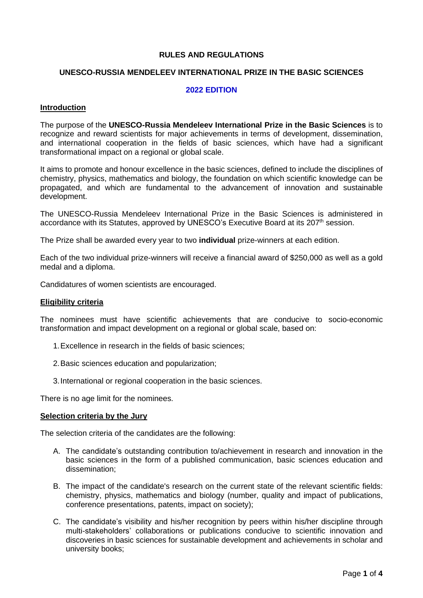# **RULES AND REGULATIONS**

## **UNESCO-RUSSIA MENDELEEV INTERNATIONAL PRIZE IN THE BASIC SCIENCES**

### **2022 EDITION**

#### **Introduction**

The purpose of the **UNESCO-Russia Mendeleev International Prize in the Basic Sciences** is to recognize and reward scientists for major achievements in terms of development, dissemination, and international cooperation in the fields of basic sciences, which have had a significant transformational impact on a regional or global scale.

It aims to promote and honour excellence in the basic sciences, defined to include the disciplines of chemistry, physics, mathematics and biology, the foundation on which scientific knowledge can be propagated, and which are fundamental to the advancement of innovation and sustainable development.

The UNESCO-Russia Mendeleev International Prize in the Basic Sciences is administered in accordance with its Statutes, approved by UNESCO's Executive Board at its 207<sup>th</sup> session.

The Prize shall be awarded every year to two **individual** prize-winners at each edition.

Each of the two individual prize-winners will receive a financial award of \$250,000 as well as a gold medal and a diploma.

Candidatures of women scientists are encouraged.

#### **Eligibility criteria**

The nominees must have scientific achievements that are conducive to socio-economic transformation and impact development on a regional or global scale, based on:

- 1.Excellence in research in the fields of basic sciences;
- 2.Basic sciences education and popularization;
- 3.International or regional cooperation in the basic sciences.

There is no age limit for the nominees.

#### **Selection criteria by the Jury**

The selection criteria of the candidates are the following:

- A. The candidate's outstanding contribution to/achievement in research and innovation in the basic sciences in the form of a published communication, basic sciences education and dissemination;
- B. The impact of the candidate's research on the current state of the relevant scientific fields: chemistry, physics, mathematics and biology (number, quality and impact of publications, conference presentations, patents, impact on society);
- C. The candidate's visibility and his/her recognition by peers within his/her discipline through multi-stakeholders' collaborations or publications conducive to scientific innovation and discoveries in basic sciences for sustainable development and achievements in scholar and university books;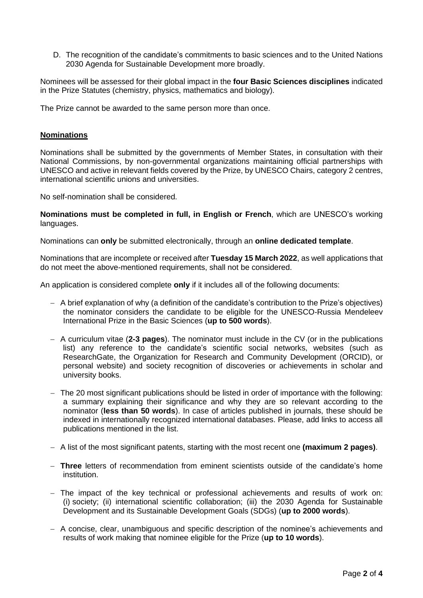D. The recognition of the candidate's commitments to basic sciences and to the United Nations 2030 Agenda for Sustainable Development more broadly.

Nominees will be assessed for their global impact in the **four Basic Sciences disciplines** indicated in the Prize Statutes (chemistry, physics, mathematics and biology).

The Prize cannot be awarded to the same person more than once.

## **Nominations**

Nominations shall be submitted by the governments of Member States, in consultation with their National Commissions, by non-governmental organizations maintaining official partnerships with UNESCO and active in relevant fields covered by the Prize, by UNESCO Chairs, category 2 centres, international scientific unions and universities.

No self-nomination shall be considered.

**Nominations must be completed in full, in English or French**, which are UNESCO's working languages.

Nominations can **only** be submitted electronically, through an **online dedicated template**.

Nominations that are incomplete or received after **Tuesday 15 March 2022**, as well applications that do not meet the above-mentioned requirements, shall not be considered.

An application is considered complete **only** if it includes all of the following documents:

- − A brief explanation of why (a definition of the candidate's contribution to the Prize's objectives) the nominator considers the candidate to be eligible for the UNESCO-Russia Mendeleev International Prize in the Basic Sciences (**up to 500 words**).
- − A curriculum vitae (**2-3 pages**). The nominator must include in the CV (or in the publications list) any reference to the candidate's scientific social networks, websites (such as ResearchGate, the Organization for Research and Community Development (ORCID), or personal website) and society recognition of discoveries or achievements in scholar and university books.
- − The 20 most significant publications should be listed in order of importance with the following: a summary explaining their significance and why they are so relevant according to the nominator (**less than 50 words**). In case of articles published in journals, these should be indexed in internationally recognized international databases. Please, add links to access all publications mentioned in the list.
- − A list of the most significant patents, starting with the most recent one **(maximum 2 pages)**.
- − **Three** letters of recommendation from eminent scientists outside of the candidate's home institution.
- − The impact of the key technical or professional achievements and results of work on: (i) society; (ii) international scientific collaboration; (iii) the 2030 Agenda for Sustainable Development and its Sustainable Development Goals (SDGs) (**up to 2000 words**).
- − A concise, clear, unambiguous and specific description of the nominee's achievements and results of work making that nominee eligible for the Prize (**up to 10 words**).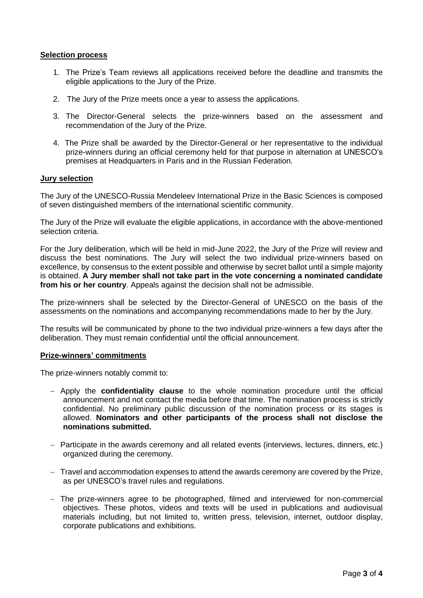### **Selection process**

- 1. The Prize's Team reviews all applications received before the deadline and transmits the eligible applications to the Jury of the Prize.
- 2. The Jury of the Prize meets once a year to assess the applications.
- 3. The Director-General selects the prize-winners based on the assessment and recommendation of the Jury of the Prize.
- 4. The Prize shall be awarded by the Director-General or her representative to the individual prize-winners during an official ceremony held for that purpose in alternation at UNESCO's premises at Headquarters in Paris and in the Russian Federation.

## **Jury selection**

The Jury of the UNESCO-Russia Mendeleev International Prize in the Basic Sciences is composed of seven distinguished members of the international scientific community.

The Jury of the Prize will evaluate the eligible applications, in accordance with the above-mentioned selection criteria.

For the Jury deliberation, which will be held in mid-June 2022, the Jury of the Prize will review and discuss the best nominations. The Jury will select the two individual prize-winners based on excellence, by consensus to the extent possible and otherwise by secret ballot until a simple majority is obtained. **A Jury member shall not take part in the vote concerning a nominated candidate from his or her country**. Appeals against the decision shall not be admissible.

The prize-winners shall be selected by the Director-General of UNESCO on the basis of the assessments on the nominations and accompanying recommendations made to her by the Jury.

The results will be communicated by phone to the two individual prize-winners a few days after the deliberation. They must remain confidential until the official announcement.

#### **Prize-winners' commitments**

The prize-winners notably commit to:

- − Apply the **confidentiality clause** to the whole nomination procedure until the official announcement and not contact the media before that time. The nomination process is strictly confidential. No preliminary public discussion of the nomination process or its stages is allowed. **Nominators and other participants of the process shall not disclose the nominations submitted.**
- − Participate in the awards ceremony and all related events (interviews, lectures, dinners, etc.) organized during the ceremony.
- − Travel and accommodation expenses to attend the awards ceremony are covered by the Prize, as per UNESCO's travel rules and regulations.
- − The prize-winners agree to be photographed, filmed and interviewed for non-commercial objectives. These photos, videos and texts will be used in publications and audiovisual materials including, but not limited to, written press, television, internet, outdoor display, corporate publications and exhibitions.